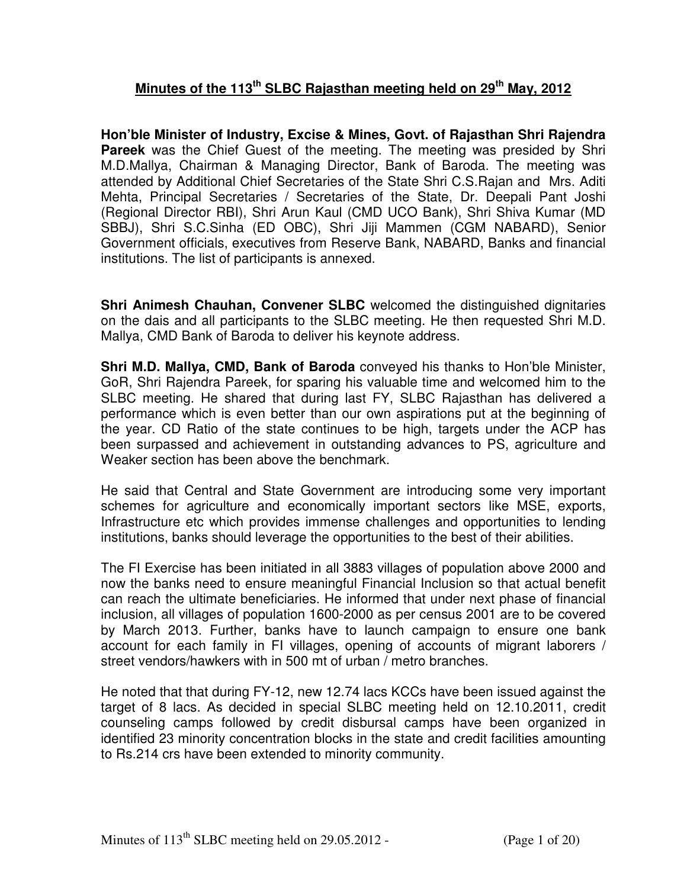## **Minutes of the 113th SLBC Rajasthan meeting held on 29th May, 2012**

**Hon'ble Minister of Industry, Excise & Mines, Govt. of Rajasthan Shri Rajendra Pareek** was the Chief Guest of the meeting. The meeting was presided by Shri M.D.Mallya, Chairman & Managing Director, Bank of Baroda. The meeting was attended by Additional Chief Secretaries of the State Shri C.S.Rajan and Mrs. Aditi Mehta, Principal Secretaries / Secretaries of the State, Dr. Deepali Pant Joshi (Regional Director RBI), Shri Arun Kaul (CMD UCO Bank), Shri Shiva Kumar (MD SBBJ), Shri S.C.Sinha (ED OBC), Shri Jiji Mammen (CGM NABARD), Senior Government officials, executives from Reserve Bank, NABARD, Banks and financial institutions. The list of participants is annexed.

**Shri Animesh Chauhan, Convener SLBC** welcomed the distinguished dignitaries on the dais and all participants to the SLBC meeting. He then requested Shri M.D. Mallya, CMD Bank of Baroda to deliver his keynote address.

**Shri M.D. Mallya, CMD, Bank of Baroda** conveyed his thanks to Hon'ble Minister, GoR, Shri Rajendra Pareek, for sparing his valuable time and welcomed him to the SLBC meeting. He shared that during last FY, SLBC Rajasthan has delivered a performance which is even better than our own aspirations put at the beginning of the year. CD Ratio of the state continues to be high, targets under the ACP has been surpassed and achievement in outstanding advances to PS, agriculture and Weaker section has been above the benchmark.

He said that Central and State Government are introducing some very important schemes for agriculture and economically important sectors like MSE, exports, Infrastructure etc which provides immense challenges and opportunities to lending institutions, banks should leverage the opportunities to the best of their abilities.

The FI Exercise has been initiated in all 3883 villages of population above 2000 and now the banks need to ensure meaningful Financial Inclusion so that actual benefit can reach the ultimate beneficiaries. He informed that under next phase of financial inclusion, all villages of population 1600-2000 as per census 2001 are to be covered by March 2013. Further, banks have to launch campaign to ensure one bank account for each family in FI villages, opening of accounts of migrant laborers / street vendors/hawkers with in 500 mt of urban / metro branches.

He noted that that during FY-12, new 12.74 lacs KCCs have been issued against the target of 8 lacs. As decided in special SLBC meeting held on 12.10.2011, credit counseling camps followed by credit disbursal camps have been organized in identified 23 minority concentration blocks in the state and credit facilities amounting to Rs.214 crs have been extended to minority community.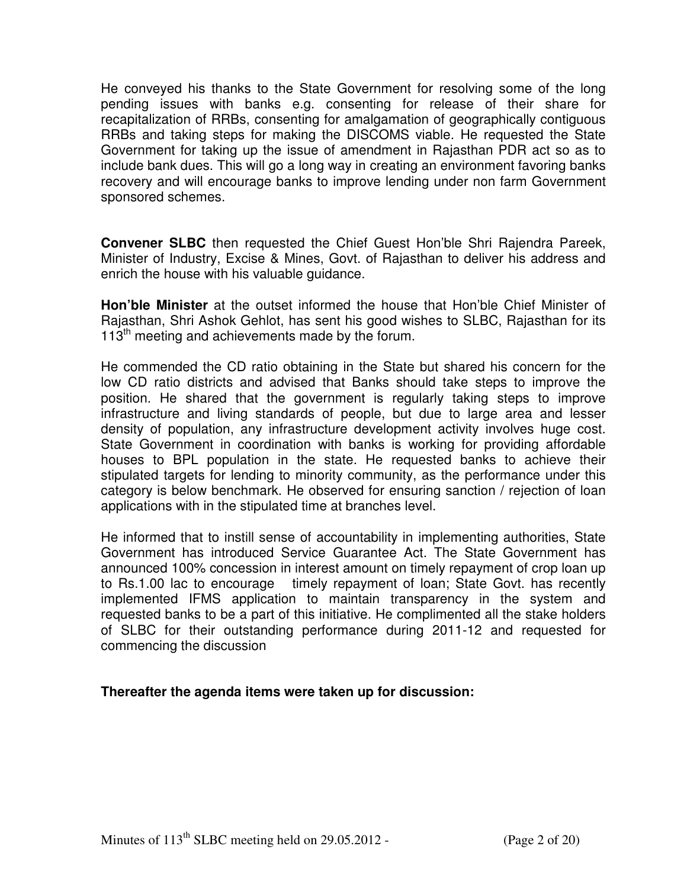He conveyed his thanks to the State Government for resolving some of the long pending issues with banks e.g. consenting for release of their share for recapitalization of RRBs, consenting for amalgamation of geographically contiguous RRBs and taking steps for making the DISCOMS viable. He requested the State Government for taking up the issue of amendment in Rajasthan PDR act so as to include bank dues. This will go a long way in creating an environment favoring banks recovery and will encourage banks to improve lending under non farm Government sponsored schemes.

**Convener SLBC** then requested the Chief Guest Hon'ble Shri Rajendra Pareek, Minister of Industry, Excise & Mines, Govt. of Rajasthan to deliver his address and enrich the house with his valuable guidance.

**Hon'ble Minister** at the outset informed the house that Hon'ble Chief Minister of Rajasthan, Shri Ashok Gehlot, has sent his good wishes to SLBC, Rajasthan for its  $113<sup>th</sup>$  meeting and achievements made by the forum.

He commended the CD ratio obtaining in the State but shared his concern for the low CD ratio districts and advised that Banks should take steps to improve the position. He shared that the government is regularly taking steps to improve infrastructure and living standards of people, but due to large area and lesser density of population, any infrastructure development activity involves huge cost. State Government in coordination with banks is working for providing affordable houses to BPL population in the state. He requested banks to achieve their stipulated targets for lending to minority community, as the performance under this category is below benchmark. He observed for ensuring sanction / rejection of loan applications with in the stipulated time at branches level.

He informed that to instill sense of accountability in implementing authorities, State Government has introduced Service Guarantee Act. The State Government has announced 100% concession in interest amount on timely repayment of crop loan up to Rs.1.00 lac to encourage timely repayment of loan; State Govt. has recently implemented IFMS application to maintain transparency in the system and requested banks to be a part of this initiative. He complimented all the stake holders of SLBC for their outstanding performance during 2011-12 and requested for commencing the discussion

#### **Thereafter the agenda items were taken up for discussion:**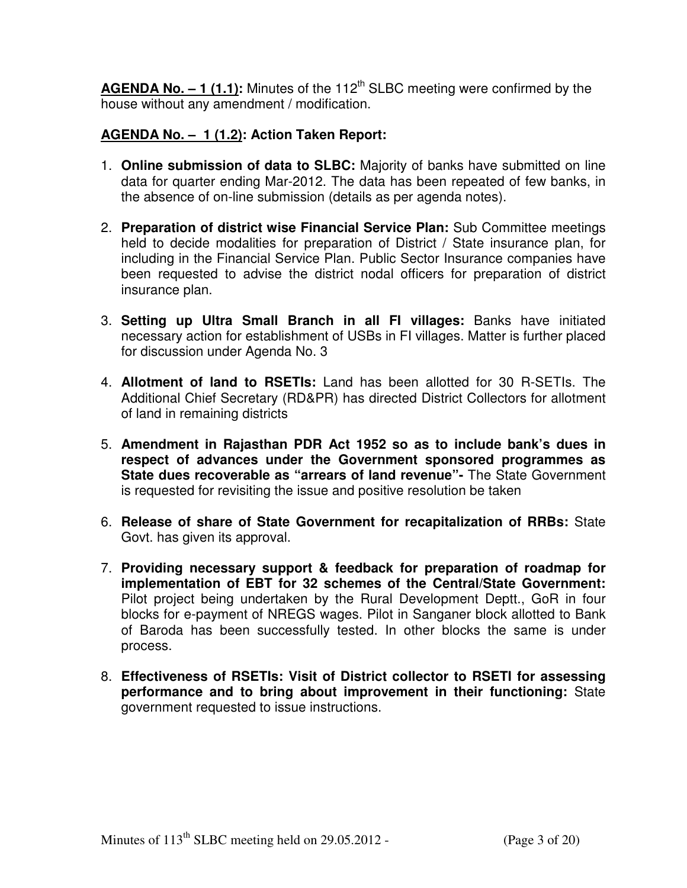AGENDA No. - 1 (1.1): Minutes of the 112<sup>th</sup> SLBC meeting were confirmed by the house without any amendment / modification.

## **AGENDA No. – 1 (1.2): Action Taken Report:**

- 1. **Online submission of data to SLBC:** Majority of banks have submitted on line data for quarter ending Mar-2012. The data has been repeated of few banks, in the absence of on-line submission (details as per agenda notes).
- 2. **Preparation of district wise Financial Service Plan:** Sub Committee meetings held to decide modalities for preparation of District / State insurance plan, for including in the Financial Service Plan. Public Sector Insurance companies have been requested to advise the district nodal officers for preparation of district insurance plan.
- 3. **Setting up Ultra Small Branch in all FI villages:** Banks have initiated necessary action for establishment of USBs in FI villages. Matter is further placed for discussion under Agenda No. 3
- 4. **Allotment of land to RSETIs:** Land has been allotted for 30 R-SETIs. The Additional Chief Secretary (RD&PR) has directed District Collectors for allotment of land in remaining districts
- 5. **Amendment in Rajasthan PDR Act 1952 so as to include bank's dues in respect of advances under the Government sponsored programmes as State dues recoverable as "arrears of land revenue"-** The State Government is requested for revisiting the issue and positive resolution be taken
- 6. **Release of share of State Government for recapitalization of RRBs:** State Govt. has given its approval.
- 7. **Providing necessary support & feedback for preparation of roadmap for implementation of EBT for 32 schemes of the Central/State Government:**  Pilot project being undertaken by the Rural Development Deptt., GoR in four blocks for e-payment of NREGS wages. Pilot in Sanganer block allotted to Bank of Baroda has been successfully tested. In other blocks the same is under process.
- 8. **Effectiveness of RSETIs: Visit of District collector to RSETI for assessing performance and to bring about improvement in their functioning:** State government requested to issue instructions.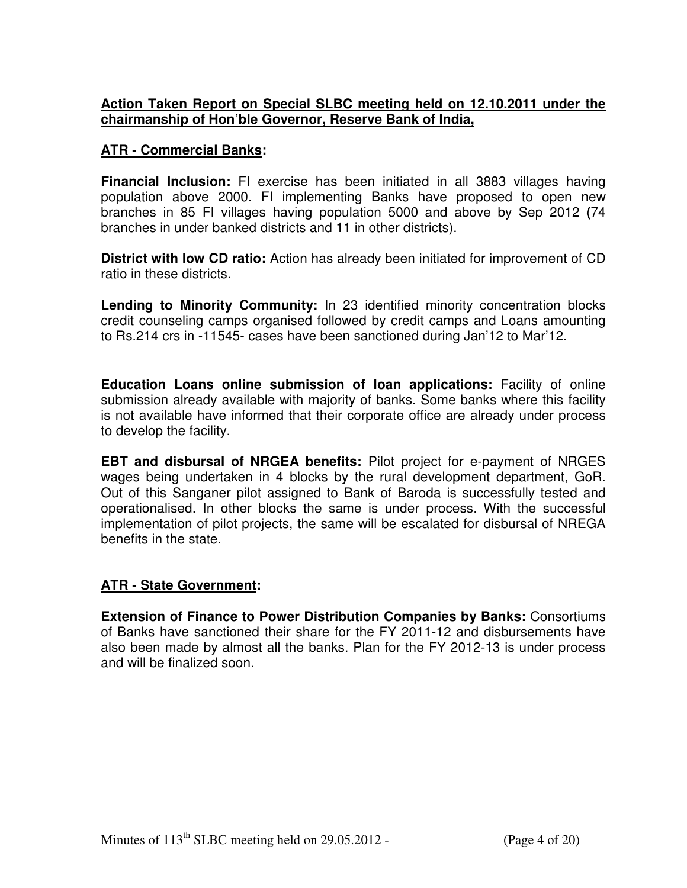## **Action Taken Report on Special SLBC meeting held on 12.10.2011 under the chairmanship of Hon'ble Governor, Reserve Bank of India,**

#### **ATR - Commercial Banks:**

**Financial Inclusion:** FI exercise has been initiated in all 3883 villages having population above 2000. FI implementing Banks have proposed to open new branches in 85 FI villages having population 5000 and above by Sep 2012 **(**74 branches in under banked districts and 11 in other districts).

**District with low CD ratio:** Action has already been initiated for improvement of CD ratio in these districts.

**Lending to Minority Community:** In 23 identified minority concentration blocks credit counseling camps organised followed by credit camps and Loans amounting to Rs.214 crs in -11545- cases have been sanctioned during Jan'12 to Mar'12.

**Education Loans online submission of loan applications:** Facility of online submission already available with majority of banks. Some banks where this facility is not available have informed that their corporate office are already under process to develop the facility.

**EBT and disbursal of NRGEA benefits:** Pilot project for e-payment of NRGES wages being undertaken in 4 blocks by the rural development department, GoR. Out of this Sanganer pilot assigned to Bank of Baroda is successfully tested and operationalised. In other blocks the same is under process. With the successful implementation of pilot projects, the same will be escalated for disbursal of NREGA benefits in the state.

## **ATR - State Government:**

**Extension of Finance to Power Distribution Companies by Banks:** Consortiums of Banks have sanctioned their share for the FY 2011-12 and disbursements have also been made by almost all the banks. Plan for the FY 2012-13 is under process and will be finalized soon.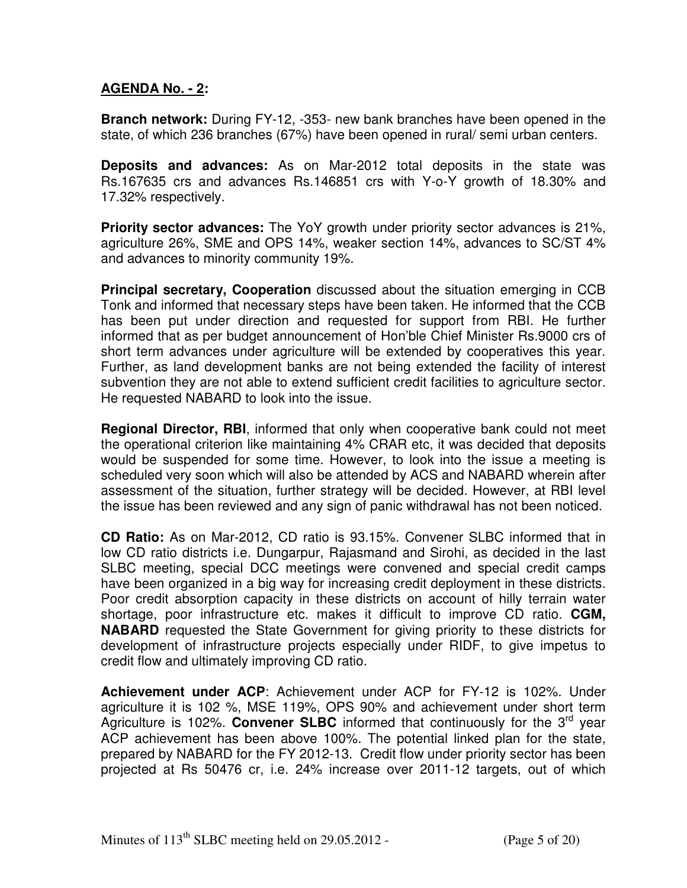## **AGENDA No. - 2:**

**Branch network:** During FY-12, -353- new bank branches have been opened in the state, of which 236 branches (67%) have been opened in rural/ semi urban centers.

**Deposits and advances:** As on Mar-2012 total deposits in the state was Rs.167635 crs and advances Rs.146851 crs with Y-o-Y growth of 18.30% and 17.32% respectively.

**Priority sector advances:** The YoY growth under priority sector advances is 21%, agriculture 26%, SME and OPS 14%, weaker section 14%, advances to SC/ST 4% and advances to minority community 19%.

**Principal secretary, Cooperation** discussed about the situation emerging in CCB Tonk and informed that necessary steps have been taken. He informed that the CCB has been put under direction and requested for support from RBI. He further informed that as per budget announcement of Hon'ble Chief Minister Rs.9000 crs of short term advances under agriculture will be extended by cooperatives this year. Further, as land development banks are not being extended the facility of interest subvention they are not able to extend sufficient credit facilities to agriculture sector. He requested NABARD to look into the issue.

**Regional Director, RBI**, informed that only when cooperative bank could not meet the operational criterion like maintaining 4% CRAR etc, it was decided that deposits would be suspended for some time. However, to look into the issue a meeting is scheduled very soon which will also be attended by ACS and NABARD wherein after assessment of the situation, further strategy will be decided. However, at RBI level the issue has been reviewed and any sign of panic withdrawal has not been noticed.

**CD Ratio:** As on Mar-2012, CD ratio is 93.15%. Convener SLBC informed that in low CD ratio districts i.e. Dungarpur, Rajasmand and Sirohi, as decided in the last SLBC meeting, special DCC meetings were convened and special credit camps have been organized in a big way for increasing credit deployment in these districts. Poor credit absorption capacity in these districts on account of hilly terrain water shortage, poor infrastructure etc. makes it difficult to improve CD ratio. **CGM, NABARD** requested the State Government for giving priority to these districts for development of infrastructure projects especially under RIDF, to give impetus to credit flow and ultimately improving CD ratio.

**Achievement under ACP**: Achievement under ACP for FY-12 is 102%. Under agriculture it is 102 %, MSE 119%, OPS 90% and achievement under short term Agriculture is 102%. **Convener SLBC** informed that continuously for the 3<sup>rd</sup> year ACP achievement has been above 100%. The potential linked plan for the state, prepared by NABARD for the FY 2012-13. Credit flow under priority sector has been projected at Rs 50476 cr, i.e. 24% increase over 2011-12 targets, out of which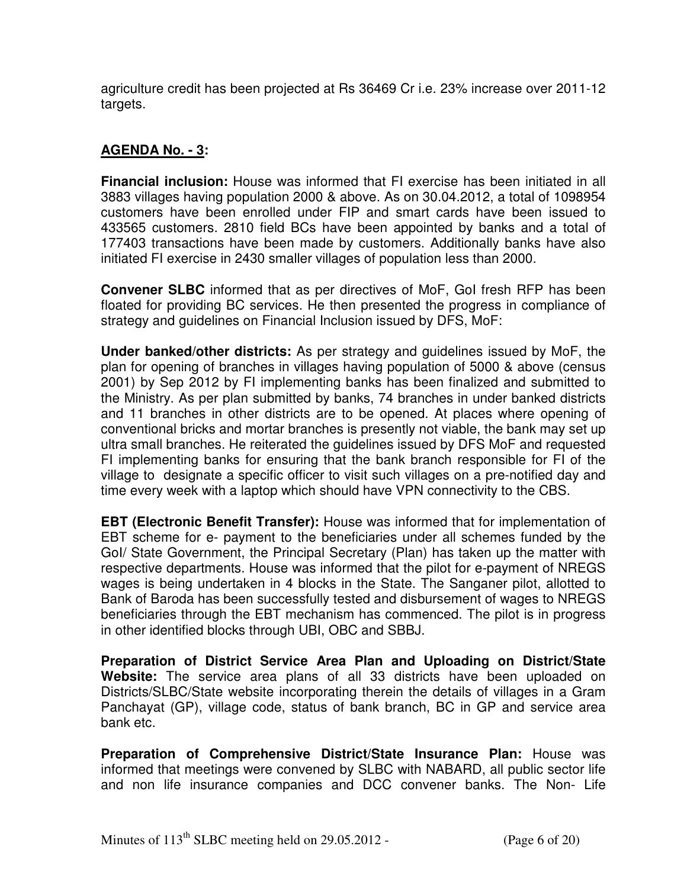agriculture credit has been projected at Rs 36469 Cr i.e. 23% increase over 2011-12 targets.

## **AGENDA No. - 3:**

**Financial inclusion:** House was informed that FI exercise has been initiated in all 3883 villages having population 2000 & above. As on 30.04.2012, a total of 1098954 customers have been enrolled under FIP and smart cards have been issued to 433565 customers. 2810 field BCs have been appointed by banks and a total of 177403 transactions have been made by customers. Additionally banks have also initiated FI exercise in 2430 smaller villages of population less than 2000.

**Convener SLBC** informed that as per directives of MoF, GoI fresh RFP has been floated for providing BC services. He then presented the progress in compliance of strategy and guidelines on Financial Inclusion issued by DFS, MoF:

**Under banked/other districts:** As per strategy and guidelines issued by MoF, the plan for opening of branches in villages having population of 5000 & above (census 2001) by Sep 2012 by FI implementing banks has been finalized and submitted to the Ministry. As per plan submitted by banks, 74 branches in under banked districts and 11 branches in other districts are to be opened. At places where opening of conventional bricks and mortar branches is presently not viable, the bank may set up ultra small branches. He reiterated the guidelines issued by DFS MoF and requested FI implementing banks for ensuring that the bank branch responsible for FI of the village to designate a specific officer to visit such villages on a pre-notified day and time every week with a laptop which should have VPN connectivity to the CBS.

**EBT (Electronic Benefit Transfer):** House was informed that for implementation of EBT scheme for e- payment to the beneficiaries under all schemes funded by the GoI/ State Government, the Principal Secretary (Plan) has taken up the matter with respective departments. House was informed that the pilot for e-payment of NREGS wages is being undertaken in 4 blocks in the State. The Sanganer pilot, allotted to Bank of Baroda has been successfully tested and disbursement of wages to NREGS beneficiaries through the EBT mechanism has commenced. The pilot is in progress in other identified blocks through UBI, OBC and SBBJ.

**Preparation of District Service Area Plan and Uploading on District/State Website:** The service area plans of all 33 districts have been uploaded on Districts/SLBC/State website incorporating therein the details of villages in a Gram Panchayat (GP), village code, status of bank branch, BC in GP and service area bank etc.

**Preparation of Comprehensive District/State Insurance Plan:** House was informed that meetings were convened by SLBC with NABARD, all public sector life and non life insurance companies and DCC convener banks. The Non- Life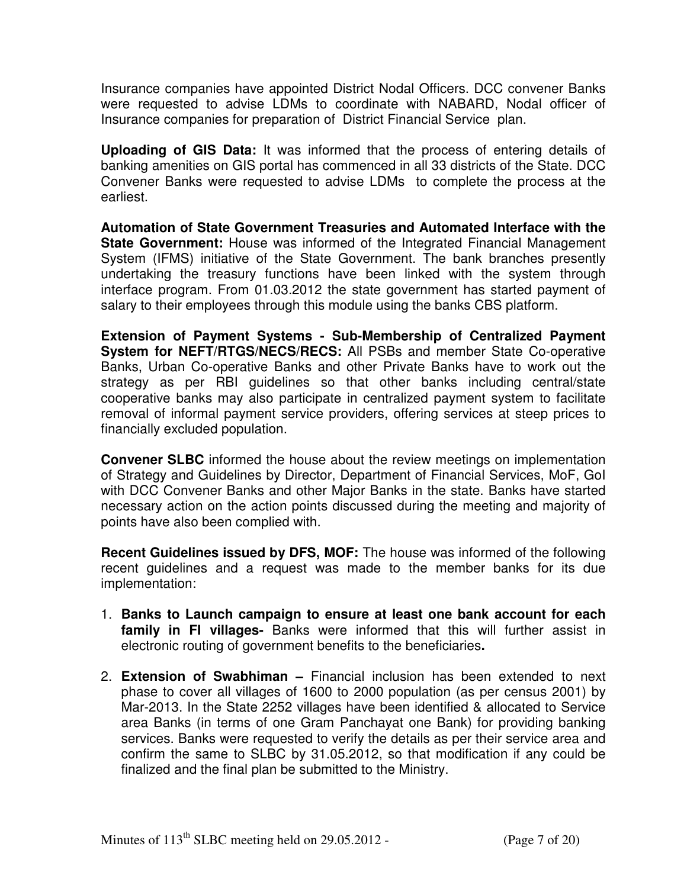Insurance companies have appointed District Nodal Officers. DCC convener Banks were requested to advise LDMs to coordinate with NABARD, Nodal officer of Insurance companies for preparation of District Financial Service plan.

**Uploading of GIS Data:** It was informed that the process of entering details of banking amenities on GIS portal has commenced in all 33 districts of the State. DCC Convener Banks were requested to advise LDMs to complete the process at the earliest.

**Automation of State Government Treasuries and Automated Interface with the State Government:** House was informed of the Integrated Financial Management System (IFMS) initiative of the State Government. The bank branches presently undertaking the treasury functions have been linked with the system through interface program. From 01.03.2012 the state government has started payment of salary to their employees through this module using the banks CBS platform.

**Extension of Payment Systems - Sub-Membership of Centralized Payment System for NEFT/RTGS/NECS/RECS:** All PSBs and member State Co-operative Banks, Urban Co-operative Banks and other Private Banks have to work out the strategy as per RBI guidelines so that other banks including central/state cooperative banks may also participate in centralized payment system to facilitate removal of informal payment service providers, offering services at steep prices to financially excluded population.

**Convener SLBC** informed the house about the review meetings on implementation of Strategy and Guidelines by Director, Department of Financial Services, MoF, GoI with DCC Convener Banks and other Major Banks in the state. Banks have started necessary action on the action points discussed during the meeting and majority of points have also been complied with.

**Recent Guidelines issued by DFS, MOF:** The house was informed of the following recent guidelines and a request was made to the member banks for its due implementation:

- 1. **Banks to Launch campaign to ensure at least one bank account for each family in FI villages-** Banks were informed that this will further assist in electronic routing of government benefits to the beneficiaries**.**
- 2. **Extension of Swabhiman** Financial inclusion has been extended to next phase to cover all villages of 1600 to 2000 population (as per census 2001) by Mar-2013. In the State 2252 villages have been identified & allocated to Service area Banks (in terms of one Gram Panchayat one Bank) for providing banking services. Banks were requested to verify the details as per their service area and confirm the same to SLBC by 31.05.2012, so that modification if any could be finalized and the final plan be submitted to the Ministry.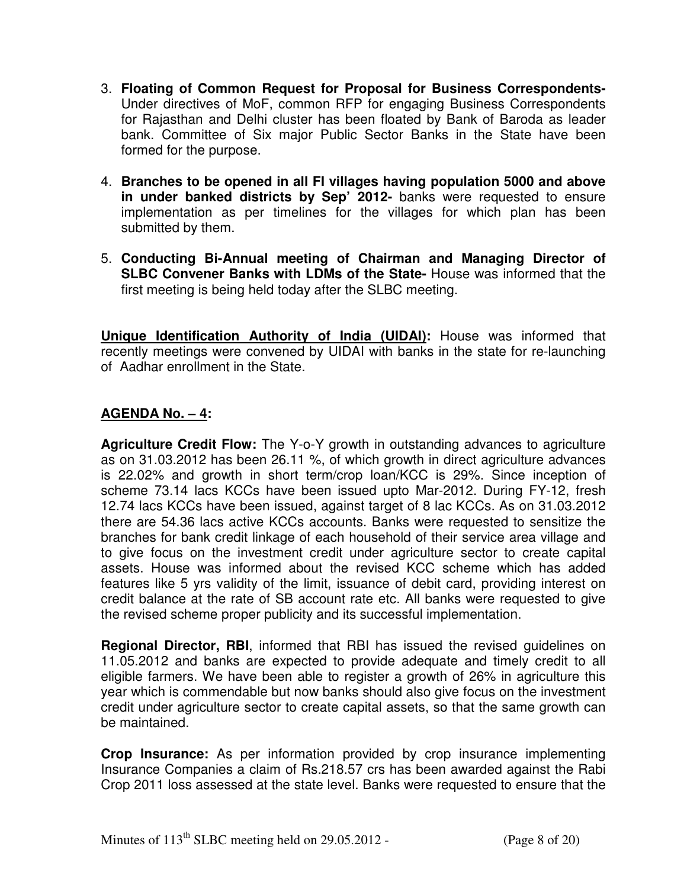- 3. **Floating of Common Request for Proposal for Business Correspondents-**Under directives of MoF, common RFP for engaging Business Correspondents for Rajasthan and Delhi cluster has been floated by Bank of Baroda as leader bank. Committee of Six major Public Sector Banks in the State have been formed for the purpose.
- 4. **Branches to be opened in all FI villages having population 5000 and above in under banked districts by Sep' 2012-** banks were requested to ensure implementation as per timelines for the villages for which plan has been submitted by them.
- 5. **Conducting Bi-Annual meeting of Chairman and Managing Director of SLBC Convener Banks with LDMs of the State-** House was informed that the first meeting is being held today after the SLBC meeting.

**Unique Identification Authority of India (UIDAI):** House was informed that recently meetings were convened by UIDAI with banks in the state for re-launching of Aadhar enrollment in the State.

## **AGENDA No. – 4:**

**Agriculture Credit Flow:** The Y-o-Y growth in outstanding advances to agriculture as on 31.03.2012 has been 26.11 %, of which growth in direct agriculture advances is 22.02% and growth in short term/crop loan/KCC is 29%. Since inception of scheme 73.14 lacs KCCs have been issued upto Mar-2012. During FY-12, fresh 12.74 lacs KCCs have been issued, against target of 8 lac KCCs. As on 31.03.2012 there are 54.36 lacs active KCCs accounts. Banks were requested to sensitize the branches for bank credit linkage of each household of their service area village and to give focus on the investment credit under agriculture sector to create capital assets. House was informed about the revised KCC scheme which has added features like 5 yrs validity of the limit, issuance of debit card, providing interest on credit balance at the rate of SB account rate etc. All banks were requested to give the revised scheme proper publicity and its successful implementation.

**Regional Director, RBI**, informed that RBI has issued the revised guidelines on 11.05.2012 and banks are expected to provide adequate and timely credit to all eligible farmers. We have been able to register a growth of 26% in agriculture this year which is commendable but now banks should also give focus on the investment credit under agriculture sector to create capital assets, so that the same growth can be maintained.

**Crop Insurance:** As per information provided by crop insurance implementing Insurance Companies a claim of Rs.218.57 crs has been awarded against the Rabi Crop 2011 loss assessed at the state level. Banks were requested to ensure that the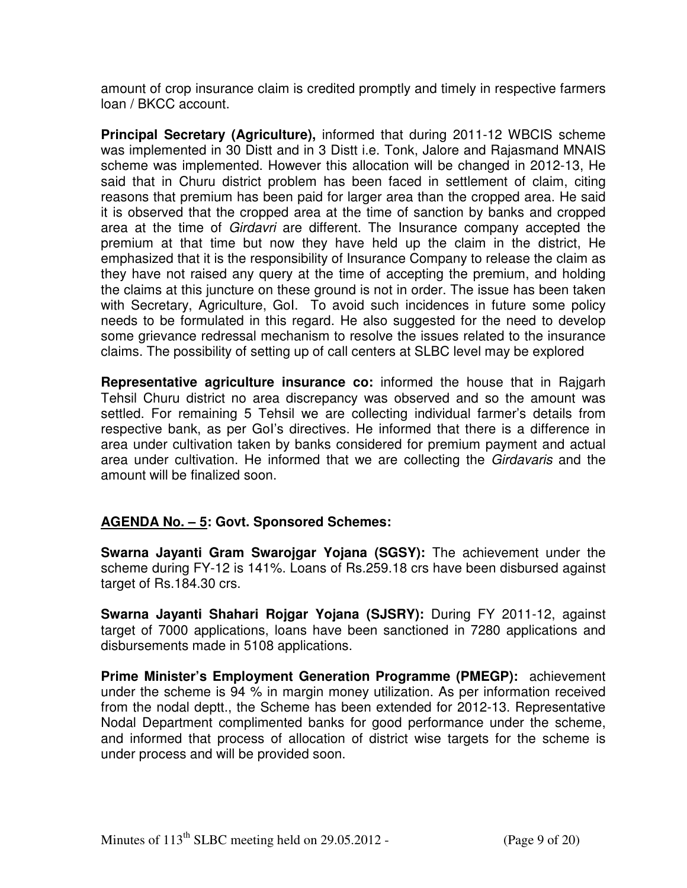amount of crop insurance claim is credited promptly and timely in respective farmers loan / BKCC account.

**Principal Secretary (Agriculture),** informed that during 2011-12 WBCIS scheme was implemented in 30 Distt and in 3 Distt i.e. Tonk, Jalore and Rajasmand MNAIS scheme was implemented. However this allocation will be changed in 2012-13, He said that in Churu district problem has been faced in settlement of claim, citing reasons that premium has been paid for larger area than the cropped area. He said it is observed that the cropped area at the time of sanction by banks and cropped area at the time of Girdavri are different. The Insurance company accepted the premium at that time but now they have held up the claim in the district, He emphasized that it is the responsibility of Insurance Company to release the claim as they have not raised any query at the time of accepting the premium, and holding the claims at this juncture on these ground is not in order. The issue has been taken with Secretary, Agriculture, Gol. To avoid such incidences in future some policy needs to be formulated in this regard. He also suggested for the need to develop some grievance redressal mechanism to resolve the issues related to the insurance claims. The possibility of setting up of call centers at SLBC level may be explored

**Representative agriculture insurance co:** informed the house that in Rajgarh Tehsil Churu district no area discrepancy was observed and so the amount was settled. For remaining 5 Tehsil we are collecting individual farmer's details from respective bank, as per GoI's directives. He informed that there is a difference in area under cultivation taken by banks considered for premium payment and actual area under cultivation. He informed that we are collecting the Girdavaris and the amount will be finalized soon.

## **AGENDA No. – 5: Govt. Sponsored Schemes:**

**Swarna Jayanti Gram Swarojgar Yojana (SGSY):** The achievement under the scheme during FY-12 is 141%. Loans of Rs.259.18 crs have been disbursed against target of Rs.184.30 crs.

**Swarna Jayanti Shahari Rojgar Yojana (SJSRY):** During FY 2011-12, against target of 7000 applications, loans have been sanctioned in 7280 applications and disbursements made in 5108 applications.

**Prime Minister's Employment Generation Programme (PMEGP):** achievement under the scheme is 94 % in margin money utilization. As per information received from the nodal deptt., the Scheme has been extended for 2012-13. Representative Nodal Department complimented banks for good performance under the scheme, and informed that process of allocation of district wise targets for the scheme is under process and will be provided soon.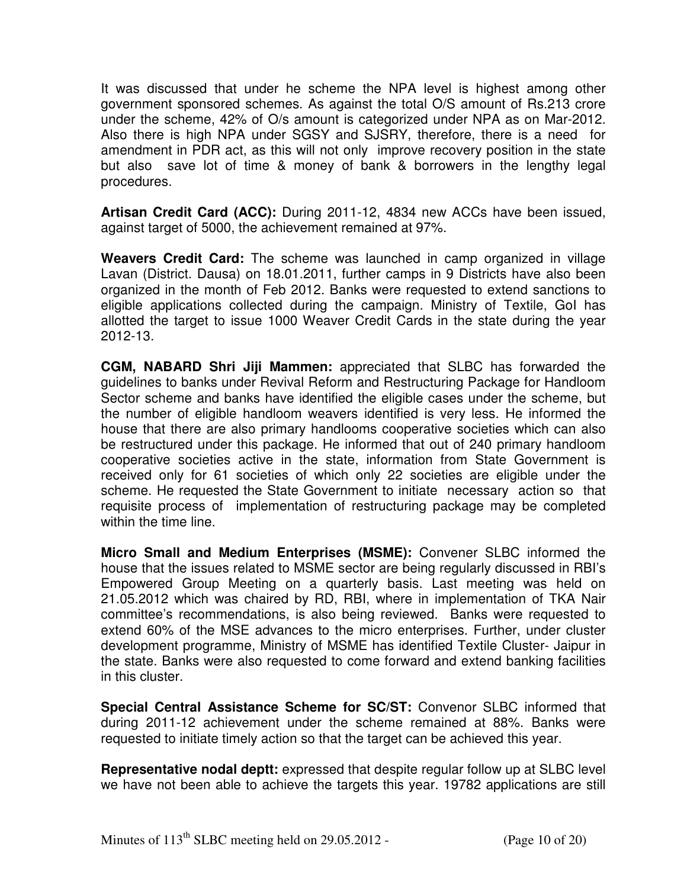It was discussed that under he scheme the NPA level is highest among other government sponsored schemes. As against the total O/S amount of Rs.213 crore under the scheme, 42% of O/s amount is categorized under NPA as on Mar-2012. Also there is high NPA under SGSY and SJSRY, therefore, there is a need for amendment in PDR act, as this will not only improve recovery position in the state but also save lot of time & money of bank & borrowers in the lengthy legal procedures.

**Artisan Credit Card (ACC):** During 2011-12, 4834 new ACCs have been issued, against target of 5000, the achievement remained at 97%.

**Weavers Credit Card:** The scheme was launched in camp organized in village Lavan (District. Dausa) on 18.01.2011, further camps in 9 Districts have also been organized in the month of Feb 2012. Banks were requested to extend sanctions to eligible applications collected during the campaign. Ministry of Textile, GoI has allotted the target to issue 1000 Weaver Credit Cards in the state during the year 2012-13.

**CGM, NABARD Shri Jiji Mammen:** appreciated that SLBC has forwarded the guidelines to banks under Revival Reform and Restructuring Package for Handloom Sector scheme and banks have identified the eligible cases under the scheme, but the number of eligible handloom weavers identified is very less. He informed the house that there are also primary handlooms cooperative societies which can also be restructured under this package. He informed that out of 240 primary handloom cooperative societies active in the state, information from State Government is received only for 61 societies of which only 22 societies are eligible under the scheme. He requested the State Government to initiate necessary action so that requisite process of implementation of restructuring package may be completed within the time line.

**Micro Small and Medium Enterprises (MSME):** Convener SLBC informed the house that the issues related to MSME sector are being regularly discussed in RBI's Empowered Group Meeting on a quarterly basis. Last meeting was held on 21.05.2012 which was chaired by RD, RBI, where in implementation of TKA Nair committee's recommendations, is also being reviewed. Banks were requested to extend 60% of the MSE advances to the micro enterprises. Further, under cluster development programme, Ministry of MSME has identified Textile Cluster- Jaipur in the state. Banks were also requested to come forward and extend banking facilities in this cluster.

**Special Central Assistance Scheme for SC/ST:** Convenor SLBC informed that during 2011-12 achievement under the scheme remained at 88%. Banks were requested to initiate timely action so that the target can be achieved this year.

**Representative nodal deptt:** expressed that despite regular follow up at SLBC level we have not been able to achieve the targets this year. 19782 applications are still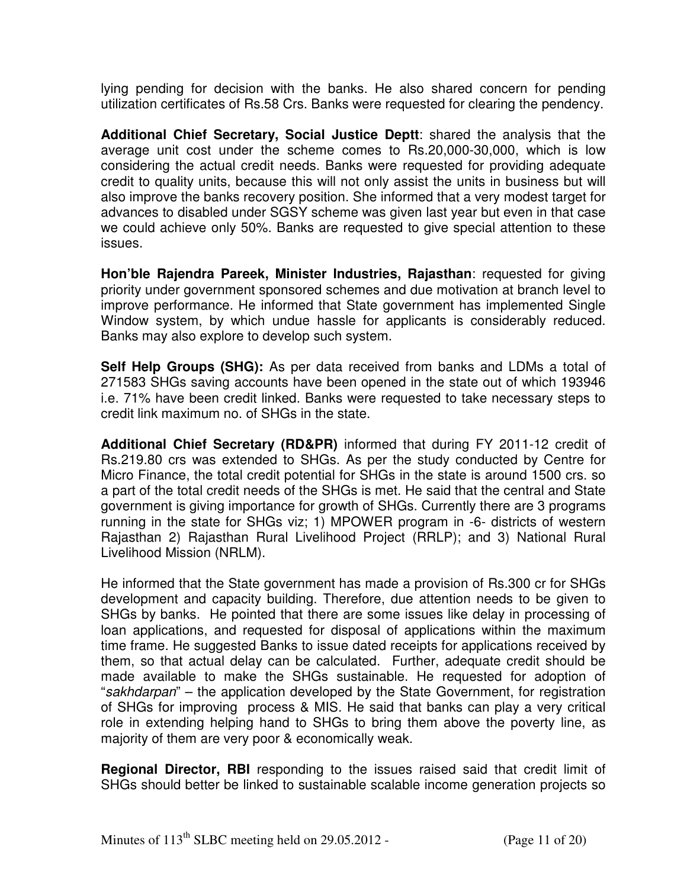lying pending for decision with the banks. He also shared concern for pending utilization certificates of Rs.58 Crs. Banks were requested for clearing the pendency.

**Additional Chief Secretary, Social Justice Deptt**: shared the analysis that the average unit cost under the scheme comes to Rs.20,000-30,000, which is low considering the actual credit needs. Banks were requested for providing adequate credit to quality units, because this will not only assist the units in business but will also improve the banks recovery position. She informed that a very modest target for advances to disabled under SGSY scheme was given last year but even in that case we could achieve only 50%. Banks are requested to give special attention to these issues.

**Hon'ble Rajendra Pareek, Minister Industries, Rajasthan**: requested for giving priority under government sponsored schemes and due motivation at branch level to improve performance. He informed that State government has implemented Single Window system, by which undue hassle for applicants is considerably reduced. Banks may also explore to develop such system.

**Self Help Groups (SHG):** As per data received from banks and LDMs a total of 271583 SHGs saving accounts have been opened in the state out of which 193946 i.e. 71% have been credit linked. Banks were requested to take necessary steps to credit link maximum no. of SHGs in the state.

**Additional Chief Secretary (RD&PR)** informed that during FY 2011-12 credit of Rs.219.80 crs was extended to SHGs. As per the study conducted by Centre for Micro Finance, the total credit potential for SHGs in the state is around 1500 crs. so a part of the total credit needs of the SHGs is met. He said that the central and State government is giving importance for growth of SHGs. Currently there are 3 programs running in the state for SHGs viz; 1) MPOWER program in -6- districts of western Rajasthan 2) Rajasthan Rural Livelihood Project (RRLP); and 3) National Rural Livelihood Mission (NRLM).

He informed that the State government has made a provision of Rs.300 cr for SHGs development and capacity building. Therefore, due attention needs to be given to SHGs by banks. He pointed that there are some issues like delay in processing of loan applications, and requested for disposal of applications within the maximum time frame. He suggested Banks to issue dated receipts for applications received by them, so that actual delay can be calculated. Further, adequate credit should be made available to make the SHGs sustainable. He requested for adoption of "sakhdarpan" – the application developed by the State Government, for registration of SHGs for improving process & MIS. He said that banks can play a very critical role in extending helping hand to SHGs to bring them above the poverty line, as majority of them are very poor & economically weak.

**Regional Director, RBI** responding to the issues raised said that credit limit of SHGs should better be linked to sustainable scalable income generation projects so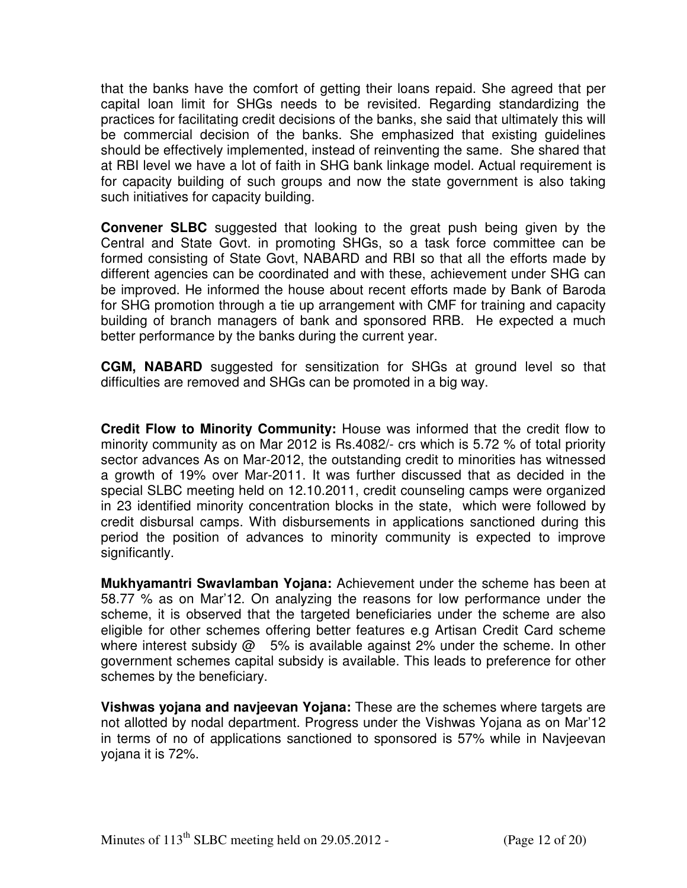that the banks have the comfort of getting their loans repaid. She agreed that per capital loan limit for SHGs needs to be revisited. Regarding standardizing the practices for facilitating credit decisions of the banks, she said that ultimately this will be commercial decision of the banks. She emphasized that existing guidelines should be effectively implemented, instead of reinventing the same. She shared that at RBI level we have a lot of faith in SHG bank linkage model. Actual requirement is for capacity building of such groups and now the state government is also taking such initiatives for capacity building.

**Convener SLBC** suggested that looking to the great push being given by the Central and State Govt. in promoting SHGs, so a task force committee can be formed consisting of State Govt, NABARD and RBI so that all the efforts made by different agencies can be coordinated and with these, achievement under SHG can be improved. He informed the house about recent efforts made by Bank of Baroda for SHG promotion through a tie up arrangement with CMF for training and capacity building of branch managers of bank and sponsored RRB. He expected a much better performance by the banks during the current year.

**CGM, NABARD** suggested for sensitization for SHGs at ground level so that difficulties are removed and SHGs can be promoted in a big way.

**Credit Flow to Minority Community:** House was informed that the credit flow to minority community as on Mar 2012 is Rs.4082/- crs which is 5.72 % of total priority sector advances As on Mar-2012, the outstanding credit to minorities has witnessed a growth of 19% over Mar-2011. It was further discussed that as decided in the special SLBC meeting held on 12.10.2011, credit counseling camps were organized in 23 identified minority concentration blocks in the state, which were followed by credit disbursal camps. With disbursements in applications sanctioned during this period the position of advances to minority community is expected to improve significantly.

**Mukhyamantri Swavlamban Yojana:** Achievement under the scheme has been at 58.77 % as on Mar'12. On analyzing the reasons for low performance under the scheme, it is observed that the targeted beneficiaries under the scheme are also eligible for other schemes offering better features e.g Artisan Credit Card scheme where interest subsidy  $@$  5% is available against 2% under the scheme. In other government schemes capital subsidy is available. This leads to preference for other schemes by the beneficiary.

**Vishwas yojana and navjeevan Yojana:** These are the schemes where targets are not allotted by nodal department. Progress under the Vishwas Yojana as on Mar'12 in terms of no of applications sanctioned to sponsored is 57% while in Navjeevan yojana it is 72%.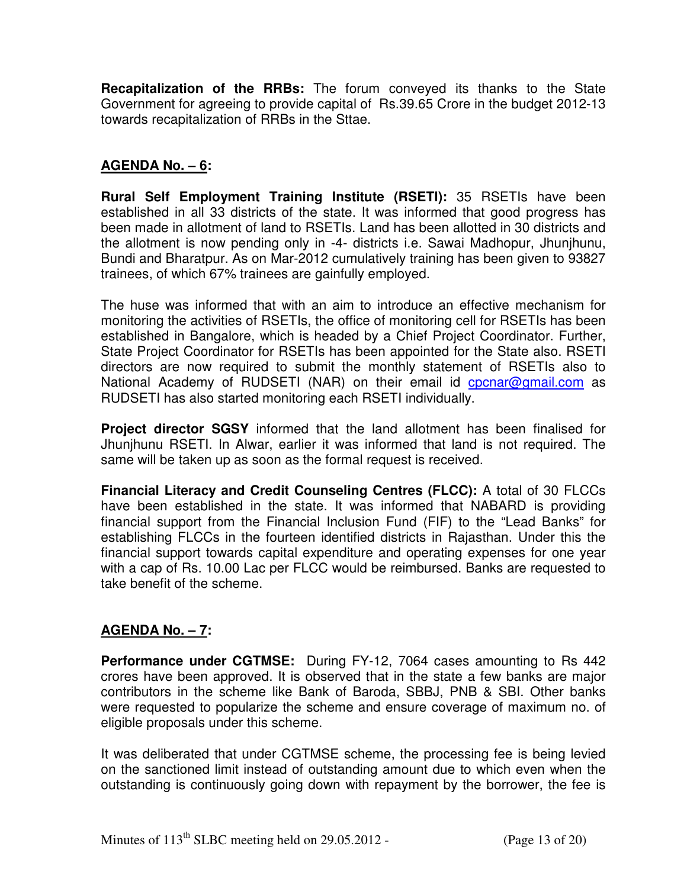**Recapitalization of the RRBs:** The forum conveyed its thanks to the State Government for agreeing to provide capital of Rs.39.65 Crore in the budget 2012-13 towards recapitalization of RRBs in the Sttae.

## **AGENDA No. – 6:**

**Rural Self Employment Training Institute (RSETI):** 35 RSETIs have been established in all 33 districts of the state. It was informed that good progress has been made in allotment of land to RSETIs. Land has been allotted in 30 districts and the allotment is now pending only in -4- districts i.e. Sawai Madhopur, Jhunjhunu, Bundi and Bharatpur. As on Mar-2012 cumulatively training has been given to 93827 trainees, of which 67% trainees are gainfully employed.

The huse was informed that with an aim to introduce an effective mechanism for monitoring the activities of RSETIs, the office of monitoring cell for RSETIs has been established in Bangalore, which is headed by a Chief Project Coordinator. Further, State Project Coordinator for RSETIs has been appointed for the State also. RSETI directors are now required to submit the monthly statement of RSETIs also to National Academy of RUDSETI (NAR) on their email id cpcnar@gmail.com as RUDSETI has also started monitoring each RSETI individually.

**Project director SGSY** informed that the land allotment has been finalised for Jhunjhunu RSETI. In Alwar, earlier it was informed that land is not required. The same will be taken up as soon as the formal request is received.

**Financial Literacy and Credit Counseling Centres (FLCC):** A total of 30 FLCCs have been established in the state. It was informed that NABARD is providing financial support from the Financial Inclusion Fund (FIF) to the "Lead Banks" for establishing FLCCs in the fourteen identified districts in Rajasthan. Under this the financial support towards capital expenditure and operating expenses for one year with a cap of Rs. 10.00 Lac per FLCC would be reimbursed. Banks are requested to take benefit of the scheme.

## **AGENDA No. – 7:**

**Performance under CGTMSE:** During FY-12, 7064 cases amounting to Rs 442 crores have been approved. It is observed that in the state a few banks are major contributors in the scheme like Bank of Baroda, SBBJ, PNB & SBI. Other banks were requested to popularize the scheme and ensure coverage of maximum no. of eligible proposals under this scheme.

It was deliberated that under CGTMSE scheme, the processing fee is being levied on the sanctioned limit instead of outstanding amount due to which even when the outstanding is continuously going down with repayment by the borrower, the fee is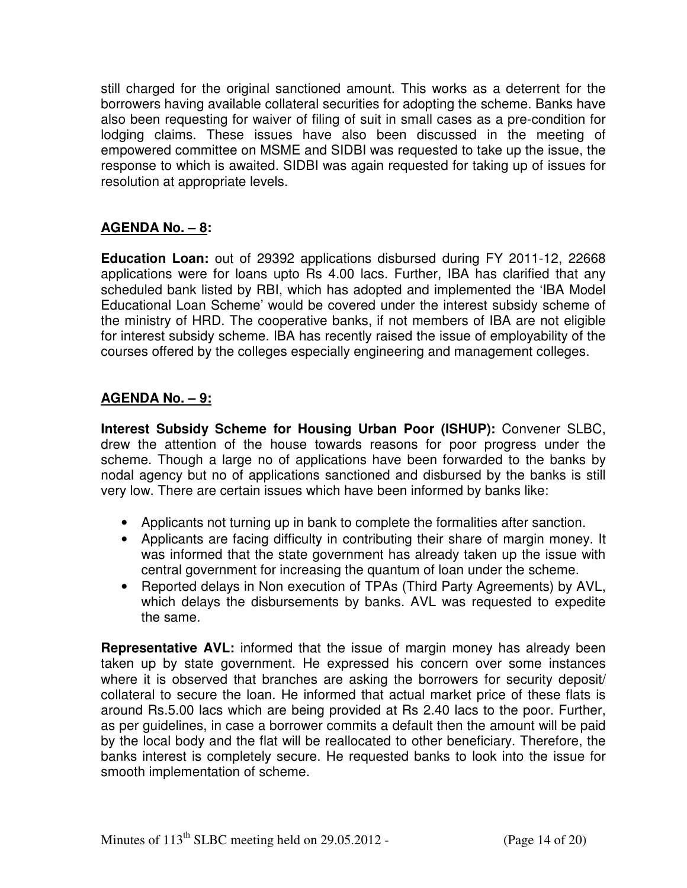still charged for the original sanctioned amount. This works as a deterrent for the borrowers having available collateral securities for adopting the scheme. Banks have also been requesting for waiver of filing of suit in small cases as a pre-condition for lodging claims. These issues have also been discussed in the meeting of empowered committee on MSME and SIDBI was requested to take up the issue, the response to which is awaited. SIDBI was again requested for taking up of issues for resolution at appropriate levels.

# **AGENDA No. – 8:**

**Education Loan:** out of 29392 applications disbursed during FY 2011-12, 22668 applications were for loans upto Rs 4.00 lacs. Further, IBA has clarified that any scheduled bank listed by RBI, which has adopted and implemented the 'IBA Model Educational Loan Scheme' would be covered under the interest subsidy scheme of the ministry of HRD. The cooperative banks, if not members of IBA are not eligible for interest subsidy scheme. IBA has recently raised the issue of employability of the courses offered by the colleges especially engineering and management colleges.

## **AGENDA No. – 9:**

**Interest Subsidy Scheme for Housing Urban Poor (ISHUP):** Convener SLBC, drew the attention of the house towards reasons for poor progress under the scheme. Though a large no of applications have been forwarded to the banks by nodal agency but no of applications sanctioned and disbursed by the banks is still very low. There are certain issues which have been informed by banks like:

- Applicants not turning up in bank to complete the formalities after sanction.
- Applicants are facing difficulty in contributing their share of margin money. It was informed that the state government has already taken up the issue with central government for increasing the quantum of loan under the scheme.
- Reported delays in Non execution of TPAs (Third Party Agreements) by AVL, which delays the disbursements by banks. AVL was requested to expedite the same.

**Representative AVL:** informed that the issue of margin money has already been taken up by state government. He expressed his concern over some instances where it is observed that branches are asking the borrowers for security deposit/ collateral to secure the loan. He informed that actual market price of these flats is around Rs.5.00 lacs which are being provided at Rs 2.40 lacs to the poor. Further, as per guidelines, in case a borrower commits a default then the amount will be paid by the local body and the flat will be reallocated to other beneficiary. Therefore, the banks interest is completely secure. He requested banks to look into the issue for smooth implementation of scheme.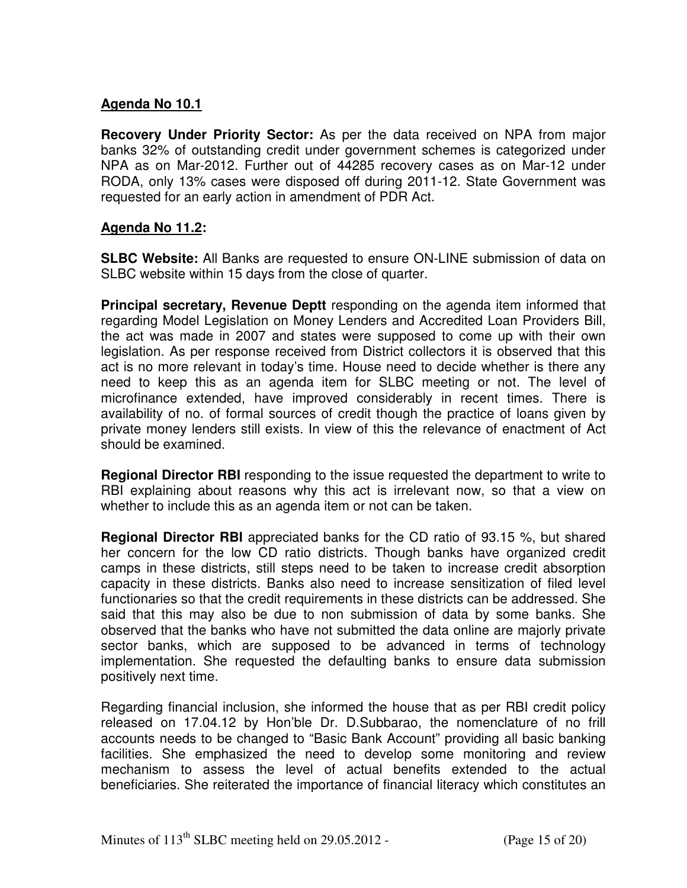### **Agenda No 10.1**

**Recovery Under Priority Sector:** As per the data received on NPA from major banks 32% of outstanding credit under government schemes is categorized under NPA as on Mar-2012. Further out of 44285 recovery cases as on Mar-12 under RODA, only 13% cases were disposed off during 2011-12. State Government was requested for an early action in amendment of PDR Act.

#### **Agenda No 11.2:**

**SLBC Website:** All Banks are requested to ensure ON-LINE submission of data on SLBC website within 15 days from the close of quarter.

**Principal secretary, Revenue Deptt** responding on the agenda item informed that regarding Model Legislation on Money Lenders and Accredited Loan Providers Bill, the act was made in 2007 and states were supposed to come up with their own legislation. As per response received from District collectors it is observed that this act is no more relevant in today's time. House need to decide whether is there any need to keep this as an agenda item for SLBC meeting or not. The level of microfinance extended, have improved considerably in recent times. There is availability of no. of formal sources of credit though the practice of loans given by private money lenders still exists. In view of this the relevance of enactment of Act should be examined.

**Regional Director RBI** responding to the issue requested the department to write to RBI explaining about reasons why this act is irrelevant now, so that a view on whether to include this as an agenda item or not can be taken.

**Regional Director RBI** appreciated banks for the CD ratio of 93.15 %, but shared her concern for the low CD ratio districts. Though banks have organized credit camps in these districts, still steps need to be taken to increase credit absorption capacity in these districts. Banks also need to increase sensitization of filed level functionaries so that the credit requirements in these districts can be addressed. She said that this may also be due to non submission of data by some banks. She observed that the banks who have not submitted the data online are majorly private sector banks, which are supposed to be advanced in terms of technology implementation. She requested the defaulting banks to ensure data submission positively next time.

Regarding financial inclusion, she informed the house that as per RBI credit policy released on 17.04.12 by Hon'ble Dr. D.Subbarao, the nomenclature of no frill accounts needs to be changed to "Basic Bank Account" providing all basic banking facilities. She emphasized the need to develop some monitoring and review mechanism to assess the level of actual benefits extended to the actual beneficiaries. She reiterated the importance of financial literacy which constitutes an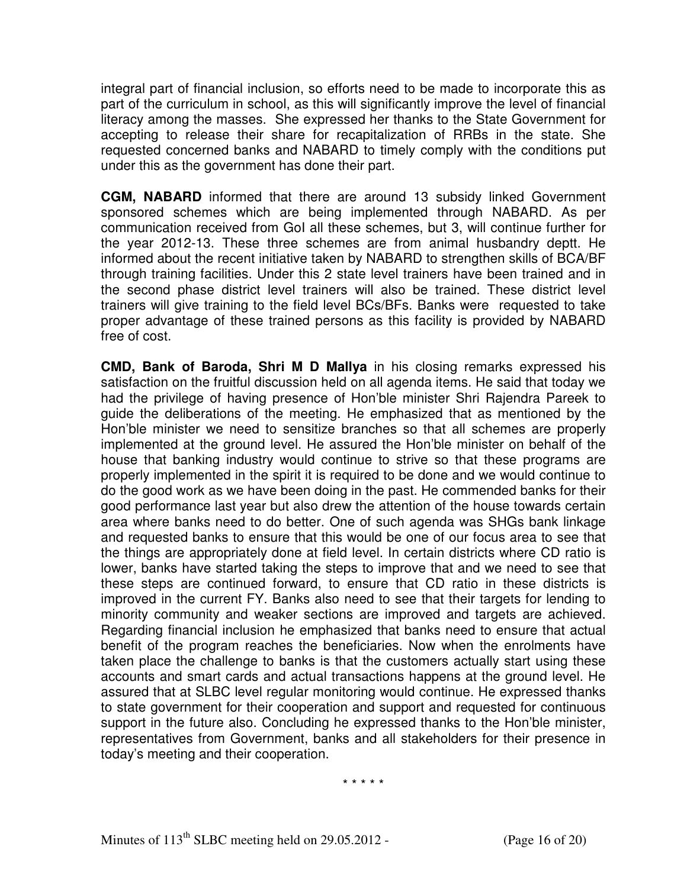integral part of financial inclusion, so efforts need to be made to incorporate this as part of the curriculum in school, as this will significantly improve the level of financial literacy among the masses. She expressed her thanks to the State Government for accepting to release their share for recapitalization of RRBs in the state. She requested concerned banks and NABARD to timely comply with the conditions put under this as the government has done their part.

**CGM, NABARD** informed that there are around 13 subsidy linked Government sponsored schemes which are being implemented through NABARD. As per communication received from GoI all these schemes, but 3, will continue further for the year 2012-13. These three schemes are from animal husbandry deptt. He informed about the recent initiative taken by NABARD to strengthen skills of BCA/BF through training facilities. Under this 2 state level trainers have been trained and in the second phase district level trainers will also be trained. These district level trainers will give training to the field level BCs/BFs. Banks were requested to take proper advantage of these trained persons as this facility is provided by NABARD free of cost.

**CMD, Bank of Baroda, Shri M D Mallya** in his closing remarks expressed his satisfaction on the fruitful discussion held on all agenda items. He said that today we had the privilege of having presence of Hon'ble minister Shri Rajendra Pareek to guide the deliberations of the meeting. He emphasized that as mentioned by the Hon'ble minister we need to sensitize branches so that all schemes are properly implemented at the ground level. He assured the Hon'ble minister on behalf of the house that banking industry would continue to strive so that these programs are properly implemented in the spirit it is required to be done and we would continue to do the good work as we have been doing in the past. He commended banks for their good performance last year but also drew the attention of the house towards certain area where banks need to do better. One of such agenda was SHGs bank linkage and requested banks to ensure that this would be one of our focus area to see that the things are appropriately done at field level. In certain districts where CD ratio is lower, banks have started taking the steps to improve that and we need to see that these steps are continued forward, to ensure that CD ratio in these districts is improved in the current FY. Banks also need to see that their targets for lending to minority community and weaker sections are improved and targets are achieved. Regarding financial inclusion he emphasized that banks need to ensure that actual benefit of the program reaches the beneficiaries. Now when the enrolments have taken place the challenge to banks is that the customers actually start using these accounts and smart cards and actual transactions happens at the ground level. He assured that at SLBC level regular monitoring would continue. He expressed thanks to state government for their cooperation and support and requested for continuous support in the future also. Concluding he expressed thanks to the Hon'ble minister, representatives from Government, banks and all stakeholders for their presence in today's meeting and their cooperation.

\* \* \* \* \*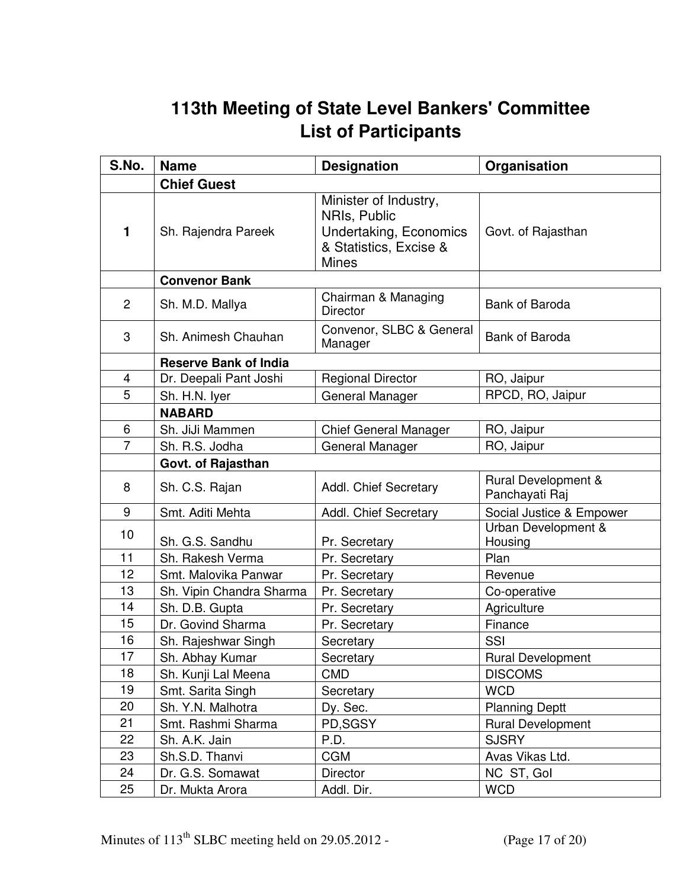# **113th Meeting of State Level Bankers' Committee List of Participants**

| S.No.          | <b>Name</b>                  | <b>Designation</b>                                                                                        | Organisation                          |  |  |
|----------------|------------------------------|-----------------------------------------------------------------------------------------------------------|---------------------------------------|--|--|
|                | <b>Chief Guest</b>           |                                                                                                           |                                       |  |  |
| 1              | Sh. Rajendra Pareek          | Minister of Industry,<br>NRIs, Public<br>Undertaking, Economics<br>& Statistics, Excise &<br><b>Mines</b> | Govt. of Rajasthan                    |  |  |
|                | <b>Convenor Bank</b>         |                                                                                                           |                                       |  |  |
| 2              | Sh. M.D. Mallya              | Chairman & Managing<br><b>Director</b>                                                                    | Bank of Baroda                        |  |  |
| 3              | Sh. Animesh Chauhan          | Convenor, SLBC & General<br>Manager                                                                       | Bank of Baroda                        |  |  |
|                | <b>Reserve Bank of India</b> |                                                                                                           |                                       |  |  |
| $\overline{4}$ | Dr. Deepali Pant Joshi       | <b>Regional Director</b>                                                                                  | RO, Jaipur                            |  |  |
| 5              | Sh. H.N. Iyer                | General Manager                                                                                           | RPCD, RO, Jaipur                      |  |  |
|                | <b>NABARD</b>                |                                                                                                           |                                       |  |  |
| 6              | Sh. JiJi Mammen              | <b>Chief General Manager</b>                                                                              | RO, Jaipur                            |  |  |
| $\overline{7}$ | Sh. R.S. Jodha               | <b>General Manager</b>                                                                                    | RO, Jaipur                            |  |  |
|                | Govt. of Rajasthan           |                                                                                                           |                                       |  |  |
| 8              | Sh. C.S. Rajan               | Addl. Chief Secretary                                                                                     | Rural Development &<br>Panchayati Raj |  |  |
| 9              | Smt. Aditi Mehta             | Addl. Chief Secretary                                                                                     | Social Justice & Empower              |  |  |
| 10             | Sh. G.S. Sandhu              | Pr. Secretary                                                                                             | Urban Development &<br>Housing        |  |  |
| 11             | Sh. Rakesh Verma             | Pr. Secretary                                                                                             | Plan                                  |  |  |
| 12             | Smt. Malovika Panwar         | Pr. Secretary                                                                                             | Revenue                               |  |  |
| 13             | Sh. Vipin Chandra Sharma     | Pr. Secretary                                                                                             | Co-operative                          |  |  |
| 14             | Sh. D.B. Gupta               | Pr. Secretary                                                                                             | Agriculture                           |  |  |
| 15             | Dr. Govind Sharma            | Pr. Secretary                                                                                             | Finance                               |  |  |
| 16             | Sh. Rajeshwar Singh          | Secretary                                                                                                 | SSI                                   |  |  |
| 17             | Sh. Abhay Kumar              | Secretary                                                                                                 | Rural Development                     |  |  |
| 18             | Sh. Kunji Lal Meena          | <b>CMD</b>                                                                                                | <b>DISCOMS</b>                        |  |  |
| 19             | Smt. Sarita Singh            | Secretary                                                                                                 | <b>WCD</b>                            |  |  |
| 20             | Sh. Y.N. Malhotra            | Dy. Sec.                                                                                                  | <b>Planning Deptt</b>                 |  |  |
| 21             | Smt. Rashmi Sharma           | PD,SGSY                                                                                                   | <b>Rural Development</b>              |  |  |
| 22             | Sh. A.K. Jain                | P.D.                                                                                                      | <b>SJSRY</b>                          |  |  |
| 23             | Sh.S.D. Thanvi               | <b>CGM</b>                                                                                                | Avas Vikas Ltd.                       |  |  |
| 24             | Dr. G.S. Somawat             | Director                                                                                                  | NC ST, Gol                            |  |  |
| 25             | Dr. Mukta Arora              | Addl. Dir.                                                                                                | <b>WCD</b>                            |  |  |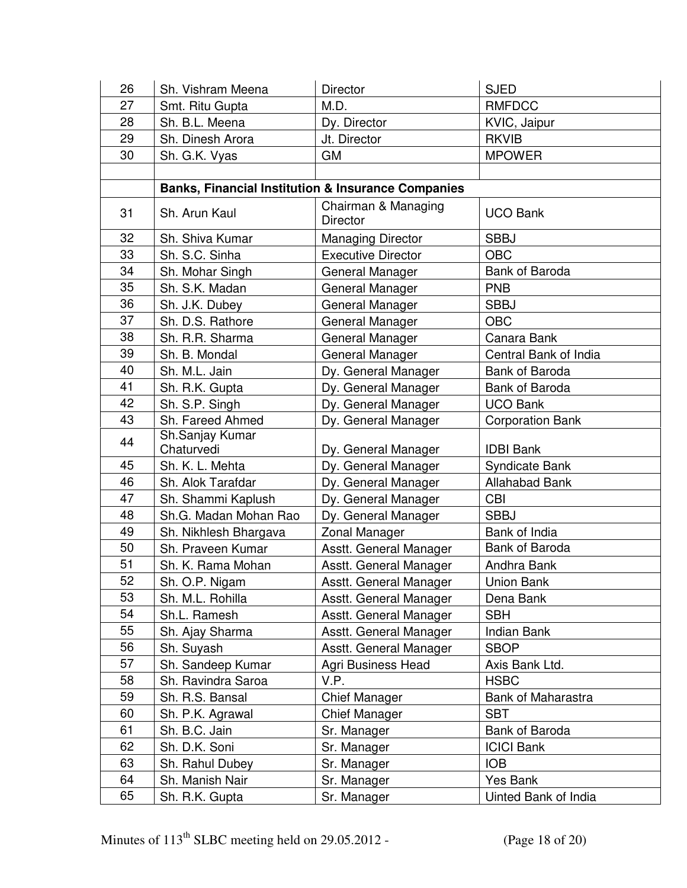| 26 | Sh. Vishram Meena     | Director                                                      | <b>SJED</b>             |
|----|-----------------------|---------------------------------------------------------------|-------------------------|
| 27 | Smt. Ritu Gupta       | M.D.                                                          | <b>RMFDCC</b>           |
| 28 | Sh. B.L. Meena        | Dy. Director                                                  | KVIC, Jaipur            |
| 29 | Sh. Dinesh Arora      | Jt. Director                                                  | <b>RKVIB</b>            |
| 30 | Sh. G.K. Vyas         | <b>GM</b>                                                     | <b>MPOWER</b>           |
|    |                       |                                                               |                         |
|    |                       | <b>Banks, Financial Institution &amp; Insurance Companies</b> |                         |
| 31 | Sh. Arun Kaul         | Chairman & Managing<br><b>Director</b>                        | <b>UCO Bank</b>         |
| 32 | Sh. Shiva Kumar       | <b>Managing Director</b>                                      | <b>SBBJ</b>             |
| 33 | Sh. S.C. Sinha        | <b>Executive Director</b>                                     | <b>OBC</b>              |
| 34 | Sh. Mohar Singh       | General Manager                                               | <b>Bank of Baroda</b>   |
| 35 | Sh. S.K. Madan        | General Manager                                               | <b>PNB</b>              |
| 36 | Sh. J.K. Dubey        | General Manager                                               | <b>SBBJ</b>             |
| 37 | Sh. D.S. Rathore      | General Manager                                               | <b>OBC</b>              |
| 38 | Sh. R.R. Sharma       | General Manager                                               | Canara Bank             |
| 39 | Sh. B. Mondal         | General Manager                                               | Central Bank of India   |
| 40 | Sh. M.L. Jain         | Dy. General Manager                                           | Bank of Baroda          |
| 41 | Sh. R.K. Gupta        | Dy. General Manager                                           | Bank of Baroda          |
| 42 | Sh. S.P. Singh        | Dy. General Manager                                           | <b>UCO Bank</b>         |
| 43 | Sh. Fareed Ahmed      | Dy. General Manager                                           | <b>Corporation Bank</b> |
| 44 | Sh.Sanjay Kumar       |                                                               |                         |
|    | Chaturvedi            | Dy. General Manager                                           | <b>IDBI Bank</b>        |
| 45 | Sh. K. L. Mehta       | Dy. General Manager                                           | Syndicate Bank          |
| 46 | Sh. Alok Tarafdar     | Dy. General Manager                                           | <b>Allahabad Bank</b>   |
| 47 | Sh. Shammi Kaplush    | Dy. General Manager                                           | <b>CBI</b>              |
| 48 | Sh.G. Madan Mohan Rao | Dy. General Manager                                           | <b>SBBJ</b>             |
| 49 | Sh. Nikhlesh Bhargava | Zonal Manager                                                 | Bank of India           |
| 50 | Sh. Praveen Kumar     | Asstt. General Manager                                        | Bank of Baroda          |
| 51 | Sh. K. Rama Mohan     | Asstt. General Manager                                        | Andhra Bank             |
| 52 | Sh. O.P. Nigam        | Asstt. General Manager                                        | Union Bank              |
| 53 | Sh. M.L. Rohilla      | Asstt. General Manager                                        | Dena Bank               |
| 54 | Sh.L. Ramesh          | Asstt. General Manager                                        | <b>SBH</b>              |
| 55 | Sh. Ajay Sharma       | Asstt. General Manager                                        | <b>Indian Bank</b>      |
| 56 | Sh. Suyash            | Asstt. General Manager                                        | <b>SBOP</b>             |
| 57 | Sh. Sandeep Kumar     | <b>Agri Business Head</b>                                     | Axis Bank Ltd.          |
| 58 | Sh. Ravindra Saroa    | V.P.                                                          | <b>HSBC</b>             |
| 59 | Sh. R.S. Bansal       | Chief Manager                                                 | Bank of Maharastra      |
| 60 | Sh. P.K. Agrawal      | Chief Manager                                                 | <b>SBT</b>              |
| 61 | Sh. B.C. Jain         | Sr. Manager                                                   | Bank of Baroda          |
| 62 | Sh. D.K. Soni         | Sr. Manager                                                   | <b>ICICI Bank</b>       |
| 63 | Sh. Rahul Dubey       | Sr. Manager                                                   | <b>IOB</b>              |
| 64 | Sh. Manish Nair       | Sr. Manager                                                   | Yes Bank                |
| 65 | Sh. R.K. Gupta        | Sr. Manager                                                   | Uinted Bank of India    |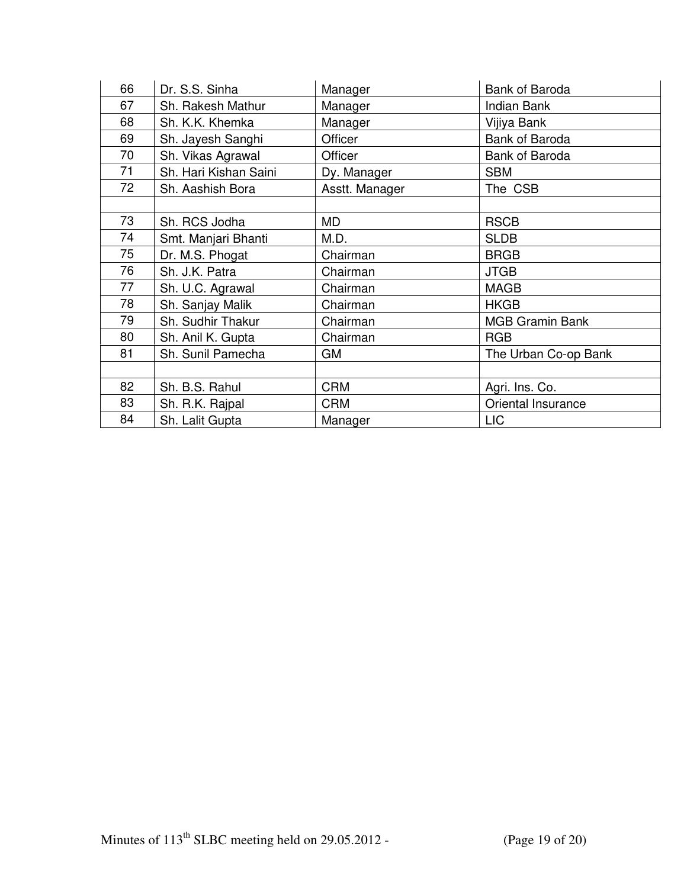| 66 | Dr. S.S. Sinha        | Manager        | <b>Bank of Baroda</b>  |
|----|-----------------------|----------------|------------------------|
| 67 | Sh. Rakesh Mathur     | Manager        | <b>Indian Bank</b>     |
| 68 | Sh. K.K. Khemka       | Manager        | Vijiya Bank            |
| 69 | Sh. Jayesh Sanghi     | Officer        | Bank of Baroda         |
| 70 | Sh. Vikas Agrawal     | Officer        | Bank of Baroda         |
| 71 | Sh. Hari Kishan Saini | Dy. Manager    | <b>SBM</b>             |
| 72 | Sh. Aashish Bora      | Asstt. Manager | The CSB                |
|    |                       |                |                        |
| 73 | Sh. RCS Jodha         | MD             | <b>RSCB</b>            |
| 74 | Smt. Manjari Bhanti   | M.D.           | <b>SLDB</b>            |
| 75 | Dr. M.S. Phogat       | Chairman       | <b>BRGB</b>            |
| 76 | Sh. J.K. Patra        | Chairman       | <b>JTGB</b>            |
| 77 | Sh. U.C. Agrawal      | Chairman       | <b>MAGB</b>            |
| 78 | Sh. Sanjay Malik      | Chairman       | <b>HKGB</b>            |
| 79 | Sh. Sudhir Thakur     | Chairman       | <b>MGB Gramin Bank</b> |
| 80 | Sh. Anil K. Gupta     | Chairman       | <b>RGB</b>             |
| 81 | Sh. Sunil Pamecha     | GM             | The Urban Co-op Bank   |
|    |                       |                |                        |
| 82 | Sh. B.S. Rahul        | <b>CRM</b>     | Agri. Ins. Co.         |
| 83 | Sh. R.K. Rajpal       | <b>CRM</b>     | Oriental Insurance     |
| 84 | Sh. Lalit Gupta       | Manager        | <b>LIC</b>             |